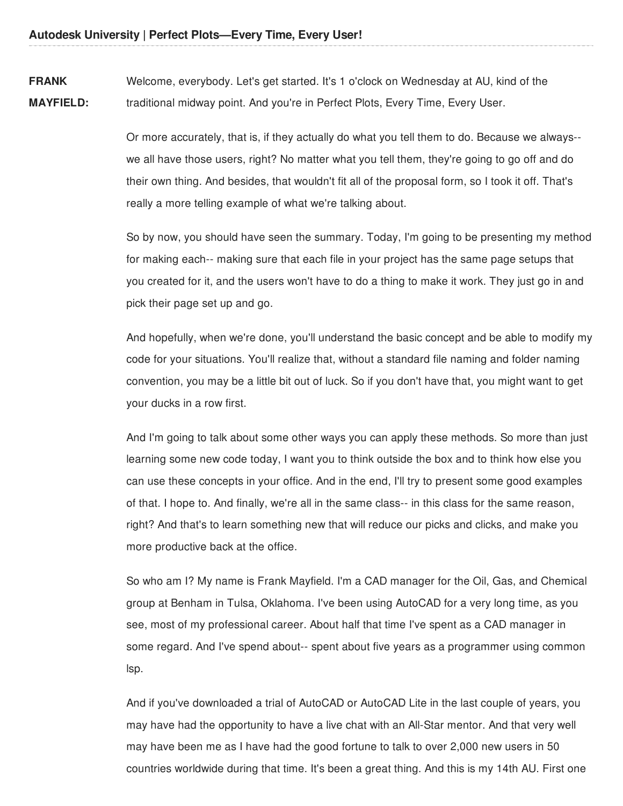**FRANK MAYFIELD:** Welcome, everybody. Let's get started. It's 1 o'clock on Wednesday at AU, kind of the traditional midway point. And you're in Perfect Plots, Every Time, Every User.

> Or more accurately, that is, if they actually do what you tell them to do. Because we always- we all have those users, right? No matter what you tell them, they're going to go off and do their own thing. And besides, that wouldn't fit all of the proposal form, so I took it off. That's really a more telling example of what we're talking about.

So by now, you should have seen the summary. Today, I'm going to be presenting my method for making each-- making sure that each file in your project has the same page setups that you created for it, and the users won't have to do a thing to make it work. They just go in and pick their page set up and go.

And hopefully, when we're done, you'll understand the basic concept and be able to modify my code for your situations. You'll realize that, without a standard file naming and folder naming convention, you may be a little bit out of luck. So if you don't have that, you might want to get your ducks in a row first.

And I'm going to talk about some other ways you can apply these methods. So more than just learning some new code today, I want you to think outside the box and to think how else you can use these concepts in your office. And in the end, I'll try to present some good examples of that. I hope to. And finally, we're all in the same class-- in this class for the same reason, right? And that's to learn something new that will reduce our picks and clicks, and make you more productive back at the office.

So who am I? My name is Frank Mayfield. I'm a CAD manager for the Oil, Gas, and Chemical group at Benham in Tulsa, Oklahoma. I've been using AutoCAD for a very long time, as you see, most of my professional career. About half that time I've spent as a CAD manager in some regard. And I've spend about-- spent about five years as a programmer using common lsp.

And if you've downloaded a trial of AutoCAD or AutoCAD Lite in the last couple of years, you may have had the opportunity to have a live chat with an All-Star mentor. And that very well may have been me as I have had the good fortune to talk to over 2,000 new users in 50 countries worldwide during that time. It's been a great thing. And this is my 14th AU. First one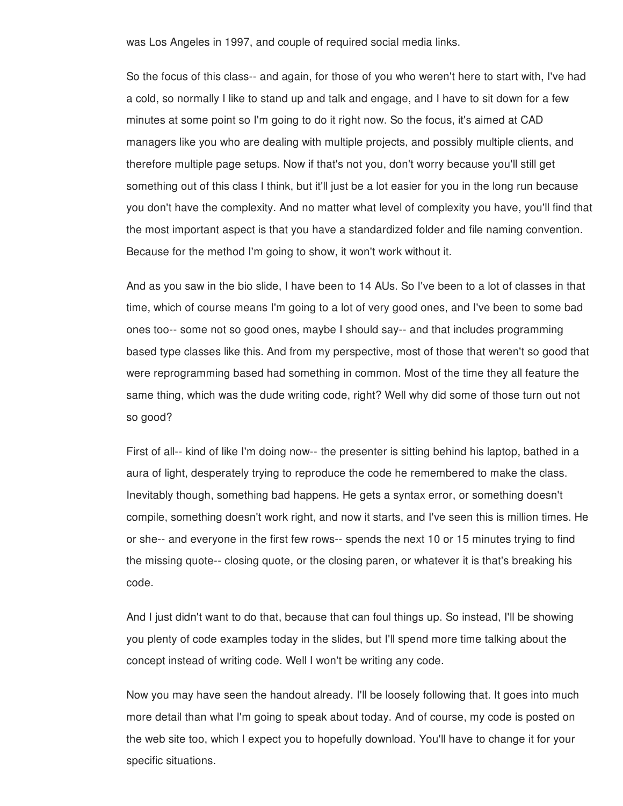was Los Angeles in 1997, and couple of required social media links.

So the focus of this class-- and again, for those of you who weren't here to start with, I've had a cold, so normally I like to stand up and talk and engage, and I have to sit down for a few minutes at some point so I'm going to do it right now. So the focus, it's aimed at CAD managers like you who are dealing with multiple projects, and possibly multiple clients, and therefore multiple page setups. Now if that's not you, don't worry because you'll still get something out of this class I think, but it'll just be a lot easier for you in the long run because you don't have the complexity. And no matter what level of complexity you have, you'll find that the most important aspect is that you have a standardized folder and file naming convention. Because for the method I'm going to show, it won't work without it.

And as you saw in the bio slide, I have been to 14 AUs. So I've been to a lot of classes in that time, which of course means I'm going to a lot of very good ones, and I've been to some bad ones too-- some not so good ones, maybe I should say-- and that includes programming based type classes like this. And from my perspective, most of those that weren't so good that were reprogramming based had something in common. Most of the time they all feature the same thing, which was the dude writing code, right? Well why did some of those turn out not so good?

First of all-- kind of like I'm doing now-- the presenter is sitting behind his laptop, bathed in a aura of light, desperately trying to reproduce the code he remembered to make the class. Inevitably though, something bad happens. He gets a syntax error, or something doesn't compile, something doesn't work right, and now it starts, and I've seen this is million times. He or she-- and everyone in the first few rows-- spends the next 10 or 15 minutes trying to find the missing quote-- closing quote, or the closing paren, or whatever it is that's breaking his code.

And I just didn't want to do that, because that can foul things up. So instead, I'll be showing you plenty of code examples today in the slides, but I'll spend more time talking about the concept instead of writing code. Well I won't be writing any code.

Now you may have seen the handout already. I'll be loosely following that. It goes into much more detail than what I'm going to speak about today. And of course, my code is posted on the web site too, which I expect you to hopefully download. You'll have to change it for your specific situations.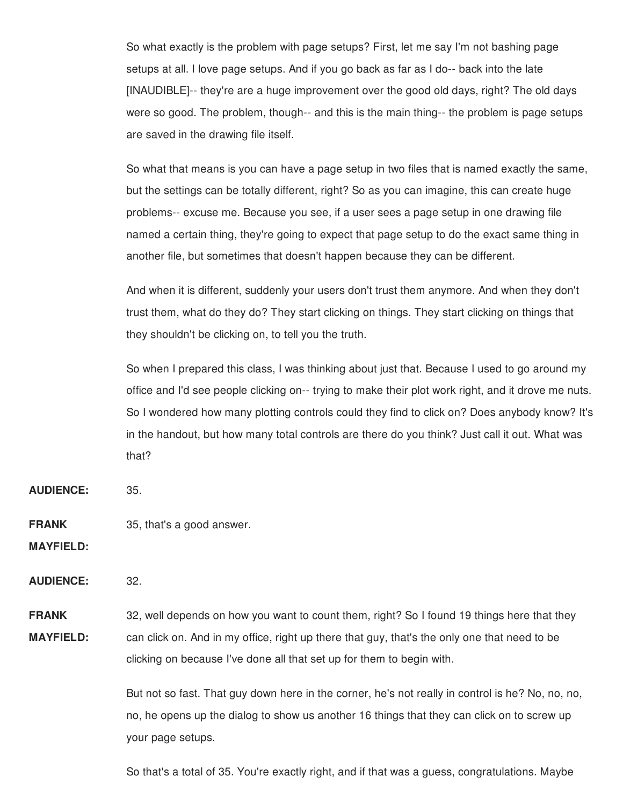So what exactly is the problem with page setups? First, let me say I'm not bashing page setups at all. I love page setups. And if you go back as far as I do-- back into the late [INAUDIBLE]-- they're are a huge improvement over the good old days, right? The old days were so good. The problem, though-- and this is the main thing-- the problem is page setups are saved in the drawing file itself.

So what that means is you can have a page setup in two files that is named exactly the same, but the settings can be totally different, right? So as you can imagine, this can create huge problems-- excuse me. Because you see, if a user sees a page setup in one drawing file named a certain thing, they're going to expect that page setup to do the exact same thing in another file, but sometimes that doesn't happen because they can be different.

And when it is different, suddenly your users don't trust them anymore. And when they don't trust them, what do they do? They start clicking on things. They start clicking on things that they shouldn't be clicking on, to tell you the truth.

So when I prepared this class, I was thinking about just that. Because I used to go around my office and I'd see people clicking on-- trying to make their plot work right, and it drove me nuts. So I wondered how many plotting controls could they find to click on? Does anybody know? It's in the handout, but how many total controls are there do you think? Just call it out. What was that?

**AUDIENCE:** 35.

**FRANK** 35, that's a good answer.

**MAYFIELD:**

**AUDIENCE:** 32.

**FRANK MAYFIELD:** 32, well depends on how you want to count them, right? So I found 19 things here that they can click on. And in my office, right up there that guy, that's the only one that need to be clicking on because I've done all that set up for them to begin with.

> But not so fast. That guy down here in the corner, he's not really in control is he? No, no, no, no, he opens up the dialog to show us another 16 things that they can click on to screw up your page setups.

So that's a total of 35. You're exactly right, and if that was a guess, congratulations. Maybe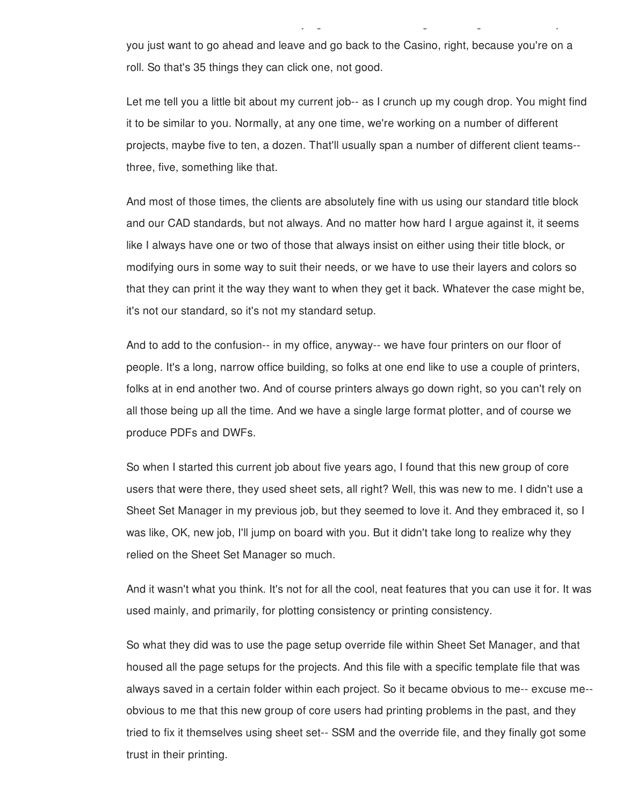you just want to go ahead and leave and go back to the Casino, right, because you're on a roll. So that's 35 things they can click one, not good.

So that's a total of 35. You're exactly right, and if that was a guess, congratulations. Maybe

Let me tell you a little bit about my current job-- as I crunch up my cough drop. You might find it to be similar to you. Normally, at any one time, we're working on a number of different projects, maybe five to ten, a dozen. That'll usually span a number of different client teams- three, five, something like that.

And most of those times, the clients are absolutely fine with us using our standard title block and our CAD standards, but not always. And no matter how hard I argue against it, it seems like I always have one or two of those that always insist on either using their title block, or modifying ours in some way to suit their needs, or we have to use their layers and colors so that they can print it the way they want to when they get it back. Whatever the case might be, it's not our standard, so it's not my standard setup.

And to add to the confusion-- in my office, anyway-- we have four printers on our floor of people. It's a long, narrow office building, so folks at one end like to use a couple of printers, folks at in end another two. And of course printers always go down right, so you can't rely on all those being up all the time. And we have a single large format plotter, and of course we produce PDFs and DWFs.

So when I started this current job about five years ago, I found that this new group of core users that were there, they used sheet sets, all right? Well, this was new to me. I didn't use a Sheet Set Manager in my previous job, but they seemed to love it. And they embraced it, so I was like, OK, new job, I'll jump on board with you. But it didn't take long to realize why they relied on the Sheet Set Manager so much.

And it wasn't what you think. It's not for all the cool, neat features that you can use it for. It was used mainly, and primarily, for plotting consistency or printing consistency.

So what they did was to use the page setup override file within Sheet Set Manager, and that housed all the page setups for the projects. And this file with a specific template file that was always saved in a certain folder within each project. So it became obvious to me-- excuse me- obvious to me that this new group of core users had printing problems in the past, and they tried to fix it themselves using sheet set-- SSM and the override file, and they finally got some trust in their printing.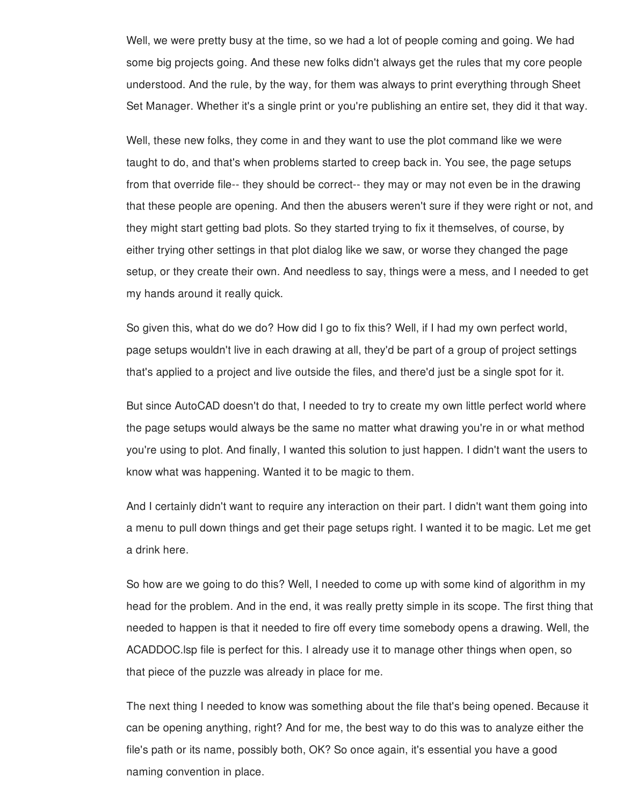Well, we were pretty busy at the time, so we had a lot of people coming and going. We had some big projects going. And these new folks didn't always get the rules that my core people understood. And the rule, by the way, for them was always to print everything through Sheet Set Manager. Whether it's a single print or you're publishing an entire set, they did it that way.

Well, these new folks, they come in and they want to use the plot command like we were taught to do, and that's when problems started to creep back in. You see, the page setups from that override file-- they should be correct-- they may or may not even be in the drawing that these people are opening. And then the abusers weren't sure if they were right or not, and they might start getting bad plots. So they started trying to fix it themselves, of course, by either trying other settings in that plot dialog like we saw, or worse they changed the page setup, or they create their own. And needless to say, things were a mess, and I needed to get my hands around it really quick.

So given this, what do we do? How did I go to fix this? Well, if I had my own perfect world, page setups wouldn't live in each drawing at all, they'd be part of a group of project settings that's applied to a project and live outside the files, and there'd just be a single spot for it.

But since AutoCAD doesn't do that, I needed to try to create my own little perfect world where the page setups would always be the same no matter what drawing you're in or what method you're using to plot. And finally, I wanted this solution to just happen. I didn't want the users to know what was happening. Wanted it to be magic to them.

And I certainly didn't want to require any interaction on their part. I didn't want them going into a menu to pull down things and get their page setups right. I wanted it to be magic. Let me get a drink here.

So how are we going to do this? Well, I needed to come up with some kind of algorithm in my head for the problem. And in the end, it was really pretty simple in its scope. The first thing that needed to happen is that it needed to fire off every time somebody opens a drawing. Well, the ACADDOC.lsp file is perfect for this. I already use it to manage other things when open, so that piece of the puzzle was already in place for me.

The next thing I needed to know was something about the file that's being opened. Because it can be opening anything, right? And for me, the best way to do this was to analyze either the file's path or its name, possibly both, OK? So once again, it's essential you have a good naming convention in place.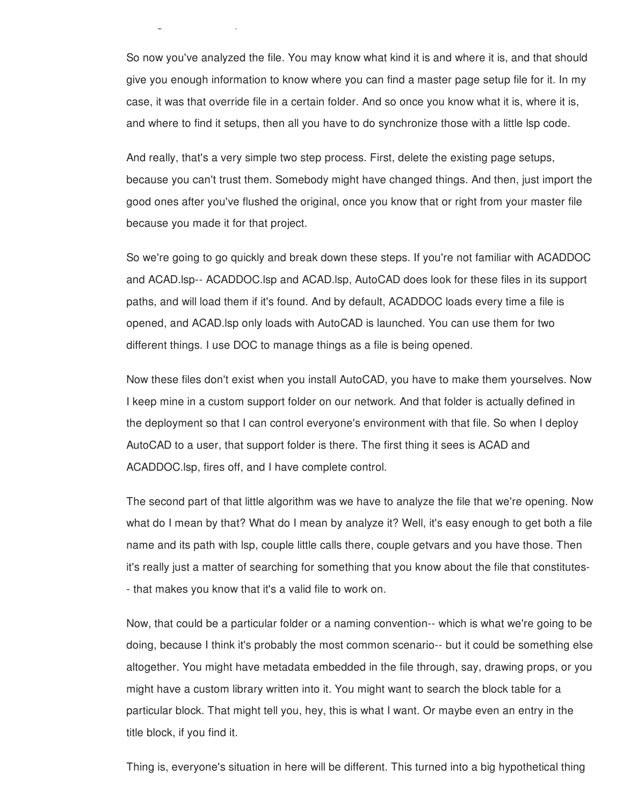So now you've analyzed the file. You may know what kind it is and where it is, and that should give you enough information to know where you can find a master page setup file for it. In my case, it was that override file in a certain folder. And so once you know what it is, where it is, and where to find it setups, then all you have to do synchronize those with a little lsp code.

naming convention in place.

And really, that's a very simple two step process. First, delete the existing page setups, because you can't trust them. Somebody might have changed things. And then, just import the good ones after you've flushed the original, once you know that or right from your master file because you made it for that project.

So we're going to go quickly and break down these steps. If you're not familiar with ACADDOC and ACAD.lsp-- ACADDOC.lsp and ACAD.lsp, AutoCAD does look for these files in its support paths, and will load them if it's found. And by default, ACADDOC loads every time a file is opened, and ACAD.lsp only loads with AutoCAD is launched. You can use them for two different things. I use DOC to manage things as a file is being opened.

Now these files don't exist when you install AutoCAD, you have to make them yourselves. Now I keep mine in a custom support folder on our network. And that folder is actually defined in the deployment so that I can control everyone's environment with that file. So when I deploy AutoCAD to a user, that support folder is there. The first thing it sees is ACAD and ACADDOC.lsp, fires off, and I have complete control.

The second part of that little algorithm was we have to analyze the file that we're opening. Now what do I mean by that? What do I mean by analyze it? Well, it's easy enough to get both a file name and its path with lsp, couple little calls there, couple getvars and you have those. Then it's really just a matter of searching for something that you know about the file that constitutes- - that makes you know that it's a valid file to work on.

Now, that could be a particular folder or a naming convention-- which is what we're going to be doing, because I think it's probably the most common scenario-- but it could be something else altogether. You might have metadata embedded in the file through, say, drawing props, or you might have a custom library written into it. You might want to search the block table for a particular block. That might tell you, hey, this is what I want. Or maybe even an entry in the title block, if you find it.

Thing is, everyone's situation in here will be different. This turned into a big hypothetical thing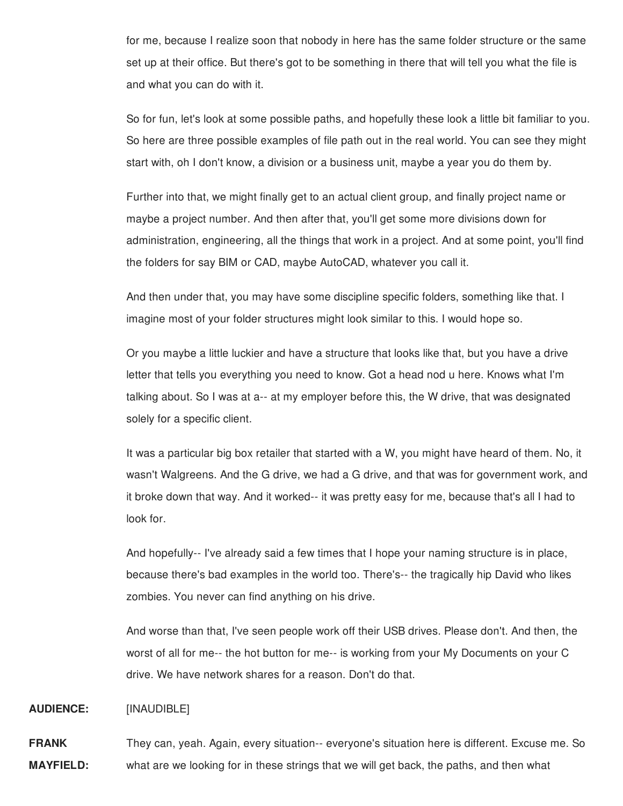for me, because I realize soon that nobody in here has the same folder structure or the same set up at their office. But there's got to be something in there that will tell you what the file is and what you can do with it.

So for fun, let's look at some possible paths, and hopefully these look a little bit familiar to you. So here are three possible examples of file path out in the real world. You can see they might start with, oh I don't know, a division or a business unit, maybe a year you do them by.

Further into that, we might finally get to an actual client group, and finally project name or maybe a project number. And then after that, you'll get some more divisions down for administration, engineering, all the things that work in a project. And at some point, you'll find the folders for say BIM or CAD, maybe AutoCAD, whatever you call it.

And then under that, you may have some discipline specific folders, something like that. I imagine most of your folder structures might look similar to this. I would hope so.

Or you maybe a little luckier and have a structure that looks like that, but you have a drive letter that tells you everything you need to know. Got a head nod u here. Knows what I'm talking about. So I was at a-- at my employer before this, the W drive, that was designated solely for a specific client.

It was a particular big box retailer that started with a W, you might have heard of them. No, it wasn't Walgreens. And the G drive, we had a G drive, and that was for government work, and it broke down that way. And it worked-- it was pretty easy for me, because that's all I had to look for.

And hopefully-- I've already said a few times that I hope your naming structure is in place, because there's bad examples in the world too. There's-- the tragically hip David who likes zombies. You never can find anything on his drive.

And worse than that, I've seen people work off their USB drives. Please don't. And then, the worst of all for me-- the hot button for me-- is working from your My Documents on your C drive. We have network shares for a reason. Don't do that.

## **AUDIENCE:** [INAUDIBLE]

**FRANK MAYFIELD:** They can, yeah. Again, every situation-- everyone's situation here is different. Excuse me. So what are we looking for in these strings that we will get back, the paths, and then what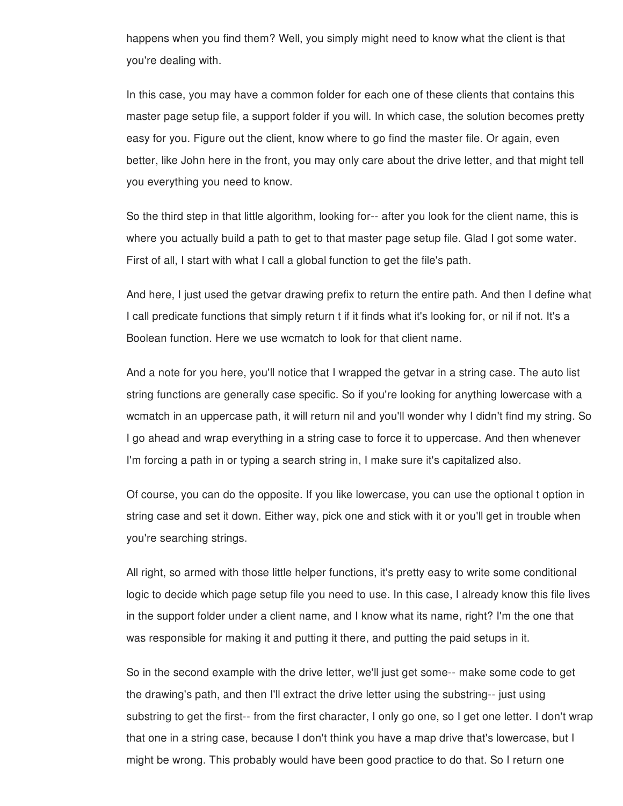happens when you find them? Well, you simply might need to know what the client is that you're dealing with.

In this case, you may have a common folder for each one of these clients that contains this master page setup file, a support folder if you will. In which case, the solution becomes pretty easy for you. Figure out the client, know where to go find the master file. Or again, even better, like John here in the front, you may only care about the drive letter, and that might tell you everything you need to know.

So the third step in that little algorithm, looking for-- after you look for the client name, this is where you actually build a path to get to that master page setup file. Glad I got some water. First of all, I start with what I call a global function to get the file's path.

And here, I just used the getvar drawing prefix to return the entire path. And then I define what I call predicate functions that simply return t if it finds what it's looking for, or nil if not. It's a Boolean function. Here we use wcmatch to look for that client name.

And a note for you here, you'll notice that I wrapped the getvar in a string case. The auto list string functions are generally case specific. So if you're looking for anything lowercase with a wcmatch in an uppercase path, it will return nil and you'll wonder why I didn't find my string. So I go ahead and wrap everything in a string case to force it to uppercase. And then whenever I'm forcing a path in or typing a search string in, I make sure it's capitalized also.

Of course, you can do the opposite. If you like lowercase, you can use the optional t option in string case and set it down. Either way, pick one and stick with it or you'll get in trouble when you're searching strings.

All right, so armed with those little helper functions, it's pretty easy to write some conditional logic to decide which page setup file you need to use. In this case, I already know this file lives in the support folder under a client name, and I know what its name, right? I'm the one that was responsible for making it and putting it there, and putting the paid setups in it.

So in the second example with the drive letter, we'll just get some-- make some code to get the drawing's path, and then I'll extract the drive letter using the substring-- just using substring to get the first-- from the first character, I only go one, so I get one letter. I don't wrap that one in a string case, because I don't think you have a map drive that's lowercase, but I might be wrong. This probably would have been good practice to do that. So I return one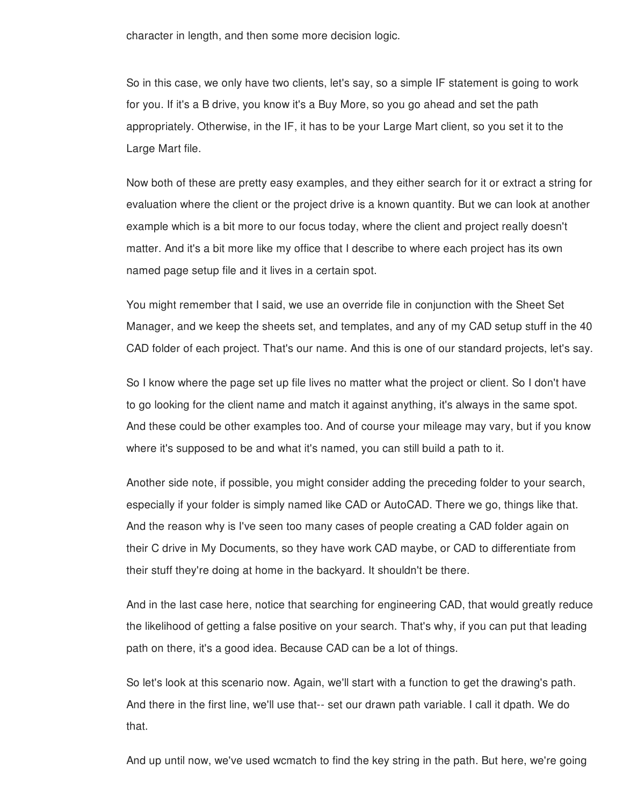character in length, and then some more decision logic.

So in this case, we only have two clients, let's say, so a simple IF statement is going to work for you. If it's a B drive, you know it's a Buy More, so you go ahead and set the path appropriately. Otherwise, in the IF, it has to be your Large Mart client, so you set it to the Large Mart file.

Now both of these are pretty easy examples, and they either search for it or extract a string for evaluation where the client or the project drive is a known quantity. But we can look at another example which is a bit more to our focus today, where the client and project really doesn't matter. And it's a bit more like my office that I describe to where each project has its own named page setup file and it lives in a certain spot.

You might remember that I said, we use an override file in conjunction with the Sheet Set Manager, and we keep the sheets set, and templates, and any of my CAD setup stuff in the 40 CAD folder of each project. That's our name. And this is one of our standard projects, let's say.

So I know where the page set up file lives no matter what the project or client. So I don't have to go looking for the client name and match it against anything, it's always in the same spot. And these could be other examples too. And of course your mileage may vary, but if you know where it's supposed to be and what it's named, you can still build a path to it.

Another side note, if possible, you might consider adding the preceding folder to your search, especially if your folder is simply named like CAD or AutoCAD. There we go, things like that. And the reason why is I've seen too many cases of people creating a CAD folder again on their C drive in My Documents, so they have work CAD maybe, or CAD to differentiate from their stuff they're doing at home in the backyard. It shouldn't be there.

And in the last case here, notice that searching for engineering CAD, that would greatly reduce the likelihood of getting a false positive on your search. That's why, if you can put that leading path on there, it's a good idea. Because CAD can be a lot of things.

So let's look at this scenario now. Again, we'll start with a function to get the drawing's path. And there in the first line, we'll use that-- set our drawn path variable. I call it dpath. We do that.

And up until now, we've used wcmatch to find the key string in the path. But here, we're going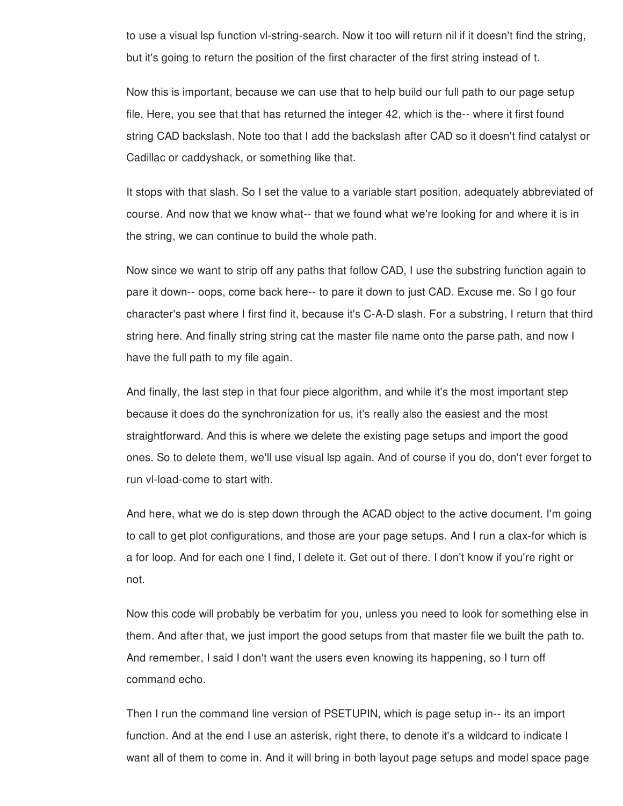to use a visual lsp function vl-string-search. Now it too will return nil if it doesn't find the string, but it's going to return the position of the first character of the first string instead of t.

Now this is important, because we can use that to help build our full path to our page setup file. Here, you see that that has returned the integer 42, which is the-- where it first found string CAD backslash. Note too that I add the backslash after CAD so it doesn't find catalyst or Cadillac or caddyshack, or something like that.

It stops with that slash. So I set the value to a variable start position, adequately abbreviated of course. And now that we know what-- that we found what we're looking for and where it is in the string, we can continue to build the whole path.

Now since we want to strip off any paths that follow CAD, I use the substring function again to pare it down-- oops, come back here-- to pare it down to just CAD. Excuse me. So I go four character's past where I first find it, because it's C-A-D slash. For a substring, I return that third string here. And finally string string cat the master file name onto the parse path, and now I have the full path to my file again.

And finally, the last step in that four piece algorithm, and while it's the most important step because it does do the synchronization for us, it's really also the easiest and the most straightforward. And this is where we delete the existing page setups and import the good ones. So to delete them, we'll use visual lsp again. And of course if you do, don't ever forget to run vl-load-come to start with.

And here, what we do is step down through the ACAD object to the active document. I'm going to call to get plot configurations, and those are your page setups. And I run a clax-for which is a for loop. And for each one I find, I delete it. Get out of there. I don't know if you're right or not.

Now this code will probably be verbatim for you, unless you need to look for something else in them. And after that, we just import the good setups from that master file we built the path to. And remember, I said I don't want the users even knowing its happening, so I turn off command echo.

Then I run the command line version of PSETUPIN, which is page setup in-- its an import function. And at the end I use an asterisk, right there, to denote it's a wildcard to indicate I want all of them to come in. And it will bring in both layout page setups and model space page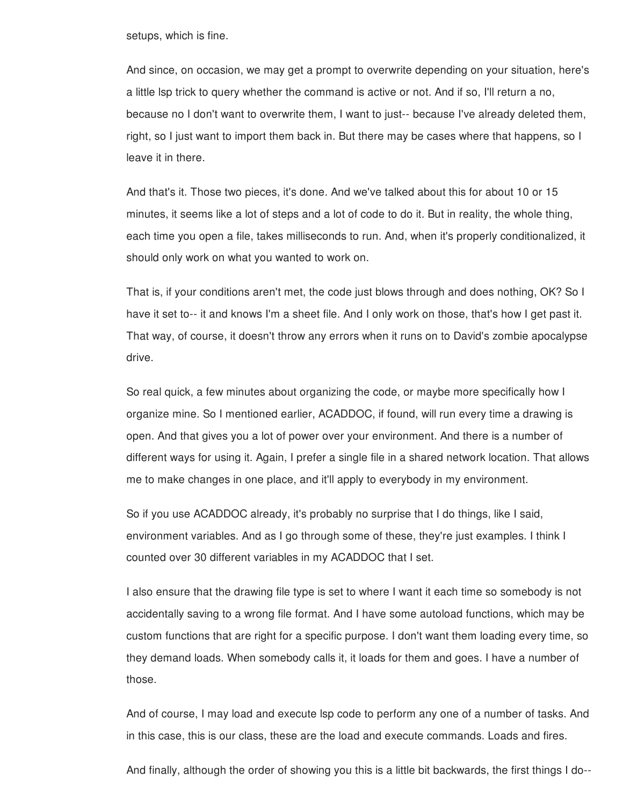setups, which is fine.

And since, on occasion, we may get a prompt to overwrite depending on your situation, here's a little lsp trick to query whether the command is active or not. And if so, I'll return a no, because no I don't want to overwrite them, I want to just-- because I've already deleted them, right, so I just want to import them back in. But there may be cases where that happens, so I leave it in there.

And that's it. Those two pieces, it's done. And we've talked about this for about 10 or 15 minutes, it seems like a lot of steps and a lot of code to do it. But in reality, the whole thing, each time you open a file, takes milliseconds to run. And, when it's properly conditionalized, it should only work on what you wanted to work on.

That is, if your conditions aren't met, the code just blows through and does nothing, OK? So I have it set to-- it and knows I'm a sheet file. And I only work on those, that's how I get past it. That way, of course, it doesn't throw any errors when it runs on to David's zombie apocalypse drive.

So real quick, a few minutes about organizing the code, or maybe more specifically how I organize mine. So I mentioned earlier, ACADDOC, if found, will run every time a drawing is open. And that gives you a lot of power over your environment. And there is a number of different ways for using it. Again, I prefer a single file in a shared network location. That allows me to make changes in one place, and it'll apply to everybody in my environment.

So if you use ACADDOC already, it's probably no surprise that I do things, like I said, environment variables. And as I go through some of these, they're just examples. I think I counted over 30 different variables in my ACADDOC that I set.

I also ensure that the drawing file type is set to where I want it each time so somebody is not accidentally saving to a wrong file format. And I have some autoload functions, which may be custom functions that are right for a specific purpose. I don't want them loading every time, so they demand loads. When somebody calls it, it loads for them and goes. I have a number of those.

And of course, I may load and execute lsp code to perform any one of a number of tasks. And in this case, this is our class, these are the load and execute commands. Loads and fires.

And finally, although the order of showing you this is a little bit backwards, the first things I do--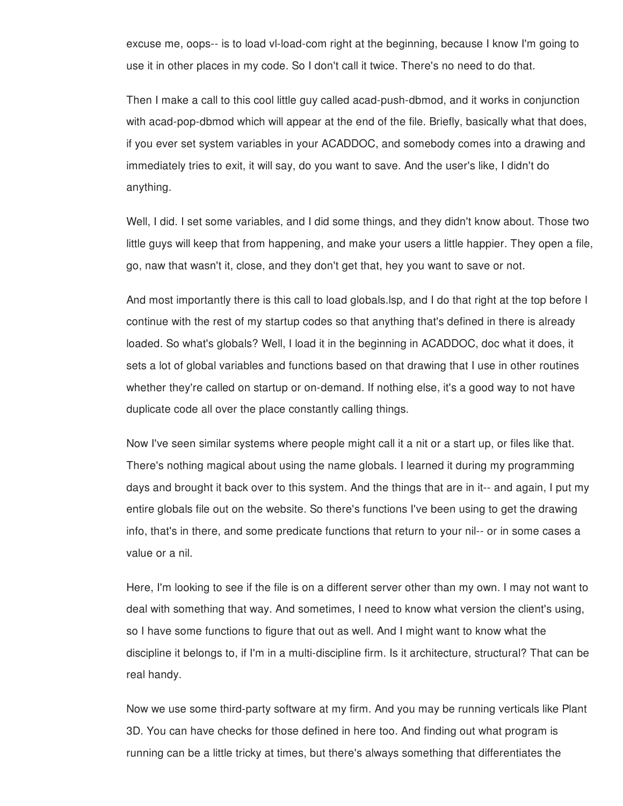excuse me, oops-- is to load vl-load-com right at the beginning, because I know I'm going to use it in other places in my code. So I don't call it twice. There's no need to do that.

Then I make a call to this cool little guy called acad-push-dbmod, and it works in conjunction with acad-pop-dbmod which will appear at the end of the file. Briefly, basically what that does, if you ever set system variables in your ACADDOC, and somebody comes into a drawing and immediately tries to exit, it will say, do you want to save. And the user's like, I didn't do anything.

Well, I did. I set some variables, and I did some things, and they didn't know about. Those two little guys will keep that from happening, and make your users a little happier. They open a file, go, naw that wasn't it, close, and they don't get that, hey you want to save or not.

And most importantly there is this call to load globals.lsp, and I do that right at the top before I continue with the rest of my startup codes so that anything that's defined in there is already loaded. So what's globals? Well, I load it in the beginning in ACADDOC, doc what it does, it sets a lot of global variables and functions based on that drawing that I use in other routines whether they're called on startup or on-demand. If nothing else, it's a good way to not have duplicate code all over the place constantly calling things.

Now I've seen similar systems where people might call it a nit or a start up, or files like that. There's nothing magical about using the name globals. I learned it during my programming days and brought it back over to this system. And the things that are in it-- and again, I put my entire globals file out on the website. So there's functions I've been using to get the drawing info, that's in there, and some predicate functions that return to your nil-- or in some cases a value or a nil.

Here, I'm looking to see if the file is on a different server other than my own. I may not want to deal with something that way. And sometimes, I need to know what version the client's using, so I have some functions to figure that out as well. And I might want to know what the discipline it belongs to, if I'm in a multi-discipline firm. Is it architecture, structural? That can be real handy.

Now we use some third-party software at my firm. And you may be running verticals like Plant 3D. You can have checks for those defined in here too. And finding out what program is running can be a little tricky at times, but there's always something that differentiates the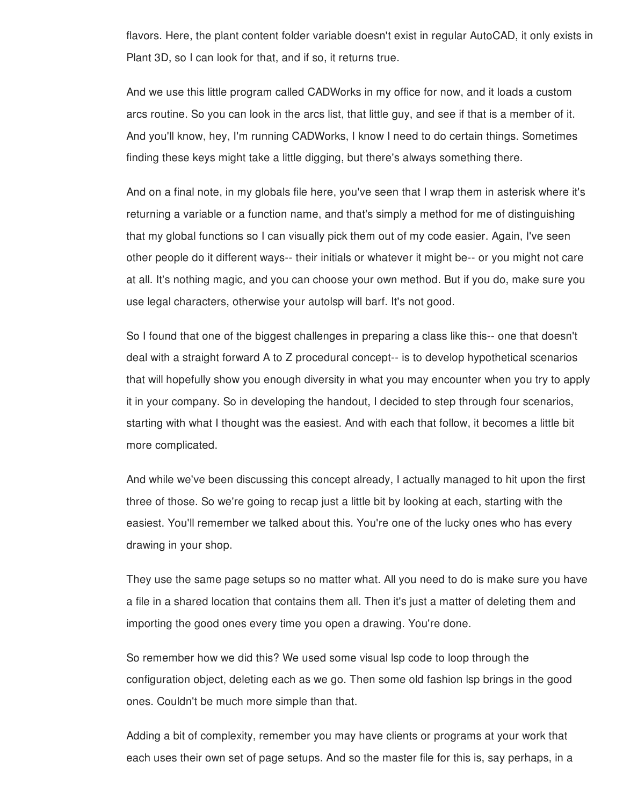flavors. Here, the plant content folder variable doesn't exist in regular AutoCAD, it only exists in Plant 3D, so I can look for that, and if so, it returns true.

And we use this little program called CADWorks in my office for now, and it loads a custom arcs routine. So you can look in the arcs list, that little guy, and see if that is a member of it. And you'll know, hey, I'm running CADWorks, I know I need to do certain things. Sometimes finding these keys might take a little digging, but there's always something there.

And on a final note, in my globals file here, you've seen that I wrap them in asterisk where it's returning a variable or a function name, and that's simply a method for me of distinguishing that my global functions so I can visually pick them out of my code easier. Again, I've seen other people do it different ways-- their initials or whatever it might be-- or you might not care at all. It's nothing magic, and you can choose your own method. But if you do, make sure you use legal characters, otherwise your autolsp will barf. It's not good.

So I found that one of the biggest challenges in preparing a class like this-- one that doesn't deal with a straight forward A to Z procedural concept-- is to develop hypothetical scenarios that will hopefully show you enough diversity in what you may encounter when you try to apply it in your company. So in developing the handout, I decided to step through four scenarios, starting with what I thought was the easiest. And with each that follow, it becomes a little bit more complicated.

And while we've been discussing this concept already, I actually managed to hit upon the first three of those. So we're going to recap just a little bit by looking at each, starting with the easiest. You'll remember we talked about this. You're one of the lucky ones who has every drawing in your shop.

They use the same page setups so no matter what. All you need to do is make sure you have a file in a shared location that contains them all. Then it's just a matter of deleting them and importing the good ones every time you open a drawing. You're done.

So remember how we did this? We used some visual lsp code to loop through the configuration object, deleting each as we go. Then some old fashion lsp brings in the good ones. Couldn't be much more simple than that.

Adding a bit of complexity, remember you may have clients or programs at your work that each uses their own set of page setups. And so the master file for this is, say perhaps, in a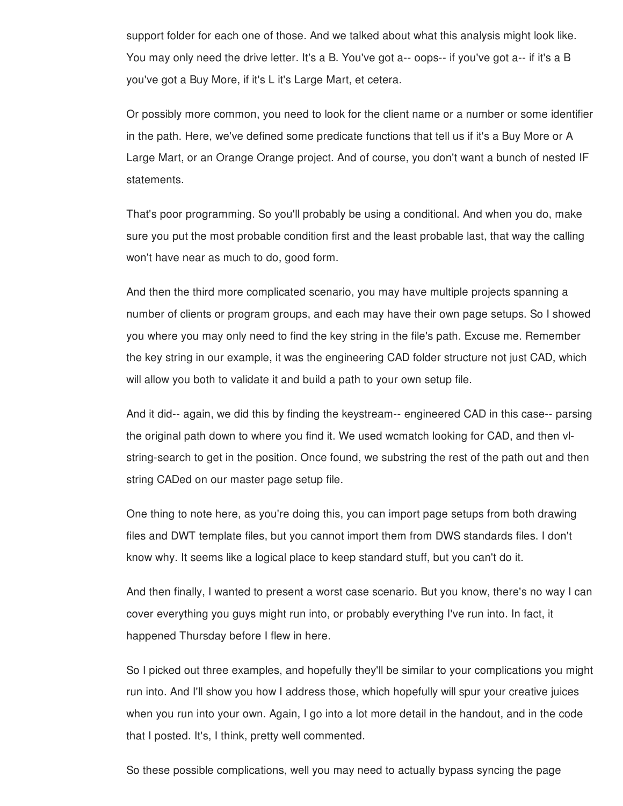support folder for each one of those. And we talked about what this analysis might look like. You may only need the drive letter. It's a B. You've got a-- oops-- if you've got a-- if it's a B you've got a Buy More, if it's L it's Large Mart, et cetera.

Or possibly more common, you need to look for the client name or a number or some identifier in the path. Here, we've defined some predicate functions that tell us if it's a Buy More or A Large Mart, or an Orange Orange project. And of course, you don't want a bunch of nested IF statements.

That's poor programming. So you'll probably be using a conditional. And when you do, make sure you put the most probable condition first and the least probable last, that way the calling won't have near as much to do, good form.

And then the third more complicated scenario, you may have multiple projects spanning a number of clients or program groups, and each may have their own page setups. So I showed you where you may only need to find the key string in the file's path. Excuse me. Remember the key string in our example, it was the engineering CAD folder structure not just CAD, which will allow you both to validate it and build a path to your own setup file.

And it did-- again, we did this by finding the keystream-- engineered CAD in this case-- parsing the original path down to where you find it. We used wcmatch looking for CAD, and then vlstring-search to get in the position. Once found, we substring the rest of the path out and then string CADed on our master page setup file.

One thing to note here, as you're doing this, you can import page setups from both drawing files and DWT template files, but you cannot import them from DWS standards files. I don't know why. It seems like a logical place to keep standard stuff, but you can't do it.

And then finally, I wanted to present a worst case scenario. But you know, there's no way I can cover everything you guys might run into, or probably everything I've run into. In fact, it happened Thursday before I flew in here.

So I picked out three examples, and hopefully they'll be similar to your complications you might run into. And I'll show you how I address those, which hopefully will spur your creative juices when you run into your own. Again, I go into a lot more detail in the handout, and in the code that I posted. It's, I think, pretty well commented.

So these possible complications, well you may need to actually bypass syncing the page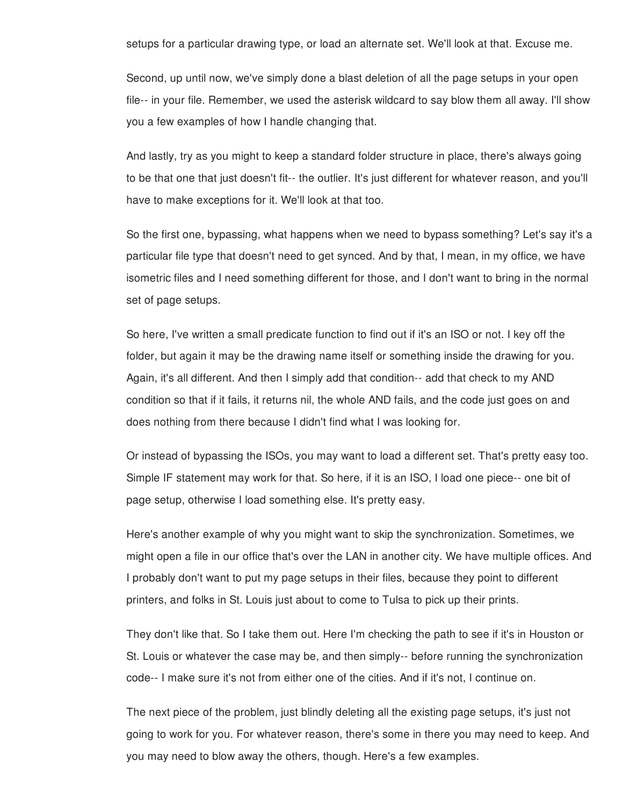setups for a particular drawing type, or load an alternate set. We'll look at that. Excuse me.

Second, up until now, we've simply done a blast deletion of all the page setups in your open file-- in your file. Remember, we used the asterisk wildcard to say blow them all away. I'll show you a few examples of how I handle changing that.

And lastly, try as you might to keep a standard folder structure in place, there's always going to be that one that just doesn't fit-- the outlier. It's just different for whatever reason, and you'll have to make exceptions for it. We'll look at that too.

So the first one, bypassing, what happens when we need to bypass something? Let's say it's a particular file type that doesn't need to get synced. And by that, I mean, in my office, we have isometric files and I need something different for those, and I don't want to bring in the normal set of page setups.

So here, I've written a small predicate function to find out if it's an ISO or not. I key off the folder, but again it may be the drawing name itself or something inside the drawing for you. Again, it's all different. And then I simply add that condition-- add that check to my AND condition so that if it fails, it returns nil, the whole AND fails, and the code just goes on and does nothing from there because I didn't find what I was looking for.

Or instead of bypassing the ISOs, you may want to load a different set. That's pretty easy too. Simple IF statement may work for that. So here, if it is an ISO, I load one piece-- one bit of page setup, otherwise I load something else. It's pretty easy.

Here's another example of why you might want to skip the synchronization. Sometimes, we might open a file in our office that's over the LAN in another city. We have multiple offices. And I probably don't want to put my page setups in their files, because they point to different printers, and folks in St. Louis just about to come to Tulsa to pick up their prints.

They don't like that. So I take them out. Here I'm checking the path to see if it's in Houston or St. Louis or whatever the case may be, and then simply-- before running the synchronization code-- I make sure it's not from either one of the cities. And if it's not, I continue on.

The next piece of the problem, just blindly deleting all the existing page setups, it's just not going to work for you. For whatever reason, there's some in there you may need to keep. And you may need to blow away the others, though. Here's a few examples.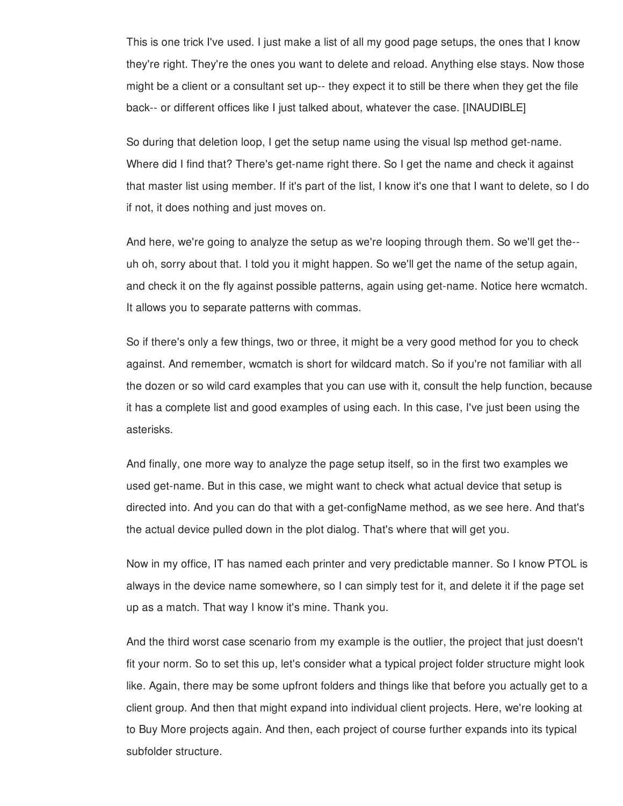This is one trick I've used. I just make a list of all my good page setups, the ones that I know they're right. They're the ones you want to delete and reload. Anything else stays. Now those might be a client or a consultant set up-- they expect it to still be there when they get the file back-- or different offices like I just talked about, whatever the case. [INAUDIBLE]

So during that deletion loop, I get the setup name using the visual lsp method get-name. Where did I find that? There's get-name right there. So I get the name and check it against that master list using member. If it's part of the list, I know it's one that I want to delete, so I do if not, it does nothing and just moves on.

And here, we're going to analyze the setup as we're looping through them. So we'll get the- uh oh, sorry about that. I told you it might happen. So we'll get the name of the setup again, and check it on the fly against possible patterns, again using get-name. Notice here wcmatch. It allows you to separate patterns with commas.

So if there's only a few things, two or three, it might be a very good method for you to check against. And remember, wcmatch is short for wildcard match. So if you're not familiar with all the dozen or so wild card examples that you can use with it, consult the help function, because it has a complete list and good examples of using each. In this case, I've just been using the asterisks.

And finally, one more way to analyze the page setup itself, so in the first two examples we used get-name. But in this case, we might want to check what actual device that setup is directed into. And you can do that with a get-configName method, as we see here. And that's the actual device pulled down in the plot dialog. That's where that will get you.

Now in my office, IT has named each printer and very predictable manner. So I know PTOL is always in the device name somewhere, so I can simply test for it, and delete it if the page set up as a match. That way I know it's mine. Thank you.

And the third worst case scenario from my example is the outlier, the project that just doesn't fit your norm. So to set this up, let's consider what a typical project folder structure might look like. Again, there may be some upfront folders and things like that before you actually get to a client group. And then that might expand into individual client projects. Here, we're looking at to Buy More projects again. And then, each project of course further expands into its typical subfolder structure.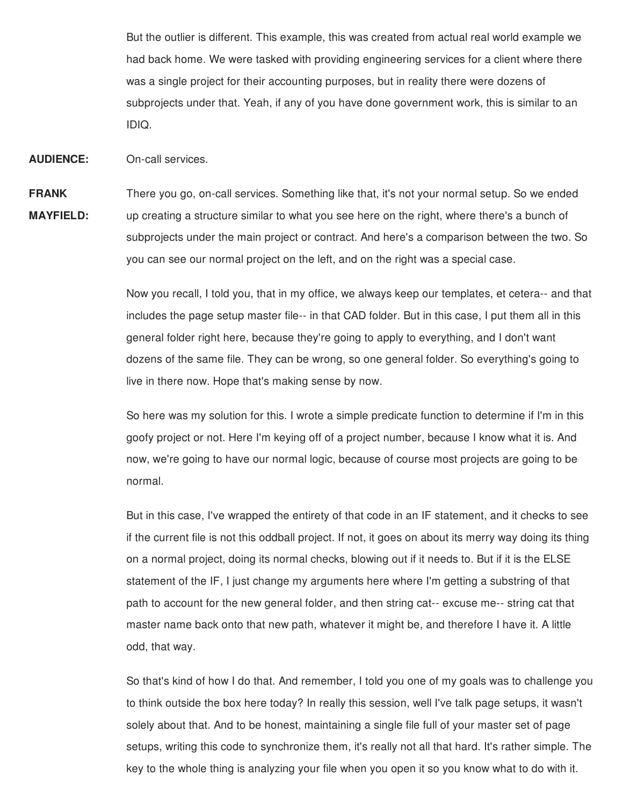But the outlier is different. This example, this was created from actual real world example we had back home. We were tasked with providing engineering services for a client where there was a single project for their accounting purposes, but in reality there were dozens of subprojects under that. Yeah, if any of you have done government work, this is similar to an IDIQ.

**AUDIENCE:** On-call services.

**FRANK MAYFIELD:** There you go, on-call services. Something like that, it's not your normal setup. So we ended up creating a structure similar to what you see here on the right, where there's a bunch of subprojects under the main project or contract. And here's a comparison between the two. So you can see our normal project on the left, and on the right was a special case.

> Now you recall, I told you, that in my office, we always keep our templates, et cetera-- and that includes the page setup master file-- in that CAD folder. But in this case, I put them all in this general folder right here, because they're going to apply to everything, and I don't want dozens of the same file. They can be wrong, so one general folder. So everything's going to live in there now. Hope that's making sense by now.

So here was my solution for this. I wrote a simple predicate function to determine if I'm in this goofy project or not. Here I'm keying off of a project number, because I know what it is. And now, we're going to have our normal logic, because of course most projects are going to be normal.

But in this case, I've wrapped the entirety of that code in an IF statement, and it checks to see if the current file is not this oddball project. If not, it goes on about its merry way doing its thing on a normal project, doing its normal checks, blowing out if it needs to. But if it is the ELSE statement of the IF, I just change my arguments here where I'm getting a substring of that path to account for the new general folder, and then string cat-- excuse me-- string cat that master name back onto that new path, whatever it might be, and therefore I have it. A little odd, that way.

So that's kind of how I do that. And remember, I told you one of my goals was to challenge you to think outside the box here today? In really this session, well I've talk page setups, it wasn't solely about that. And to be honest, maintaining a single file full of your master set of page setups, writing this code to synchronize them, it's really not all that hard. It's rather simple. The key to the whole thing is analyzing your file when you open it so you know what to do with it.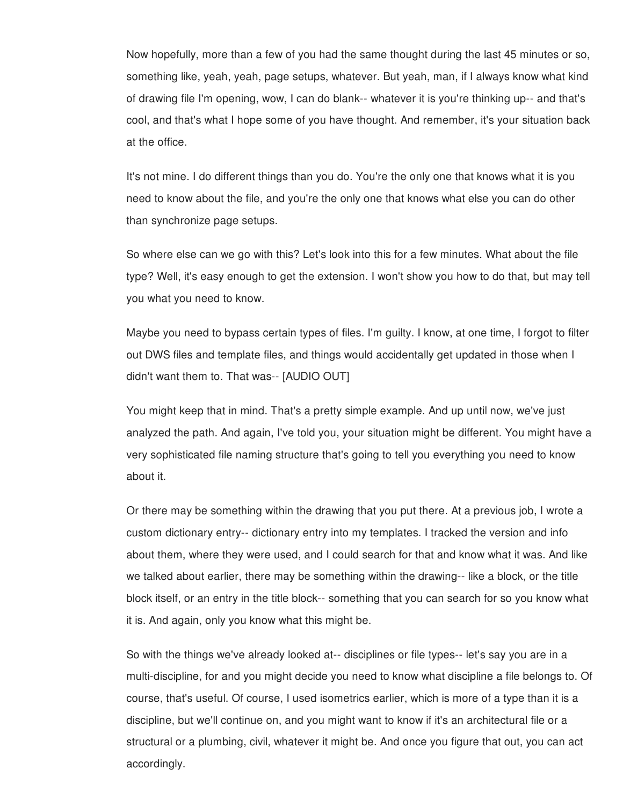Now hopefully, more than a few of you had the same thought during the last 45 minutes or so, something like, yeah, yeah, page setups, whatever. But yeah, man, if I always know what kind of drawing file I'm opening, wow, I can do blank-- whatever it is you're thinking up-- and that's cool, and that's what I hope some of you have thought. And remember, it's your situation back at the office.

It's not mine. I do different things than you do. You're the only one that knows what it is you need to know about the file, and you're the only one that knows what else you can do other than synchronize page setups.

So where else can we go with this? Let's look into this for a few minutes. What about the file type? Well, it's easy enough to get the extension. I won't show you how to do that, but may tell you what you need to know.

Maybe you need to bypass certain types of files. I'm guilty. I know, at one time, I forgot to filter out DWS files and template files, and things would accidentally get updated in those when I didn't want them to. That was-- [AUDIO OUT]

You might keep that in mind. That's a pretty simple example. And up until now, we've just analyzed the path. And again, I've told you, your situation might be different. You might have a very sophisticated file naming structure that's going to tell you everything you need to know about it.

Or there may be something within the drawing that you put there. At a previous job, I wrote a custom dictionary entry-- dictionary entry into my templates. I tracked the version and info about them, where they were used, and I could search for that and know what it was. And like we talked about earlier, there may be something within the drawing-- like a block, or the title block itself, or an entry in the title block-- something that you can search for so you know what it is. And again, only you know what this might be.

So with the things we've already looked at-- disciplines or file types-- let's say you are in a multi-discipline, for and you might decide you need to know what discipline a file belongs to. Of course, that's useful. Of course, I used isometrics earlier, which is more of a type than it is a discipline, but we'll continue on, and you might want to know if it's an architectural file or a structural or a plumbing, civil, whatever it might be. And once you figure that out, you can act accordingly.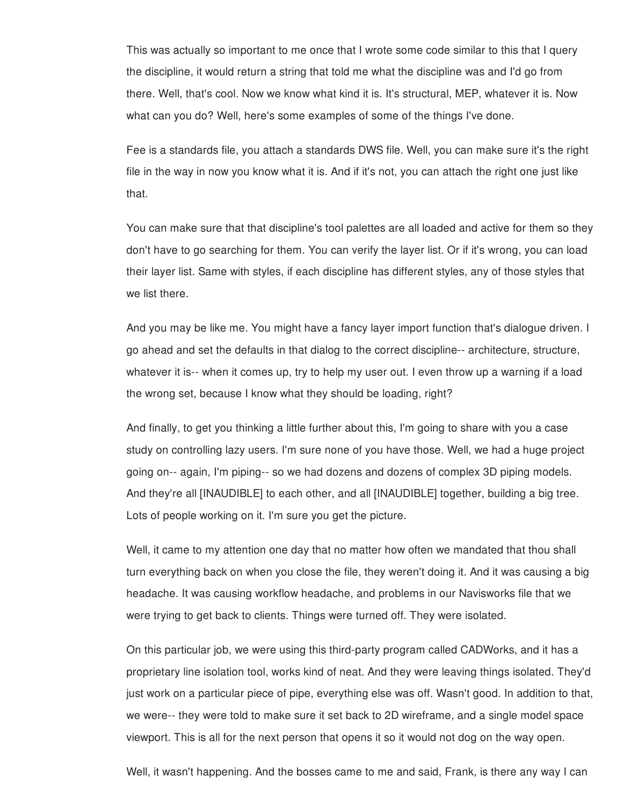This was actually so important to me once that I wrote some code similar to this that I query the discipline, it would return a string that told me what the discipline was and I'd go from there. Well, that's cool. Now we know what kind it is. It's structural, MEP, whatever it is. Now what can you do? Well, here's some examples of some of the things I've done.

Fee is a standards file, you attach a standards DWS file. Well, you can make sure it's the right file in the way in now you know what it is. And if it's not, you can attach the right one just like that.

You can make sure that that discipline's tool palettes are all loaded and active for them so they don't have to go searching for them. You can verify the layer list. Or if it's wrong, you can load their layer list. Same with styles, if each discipline has different styles, any of those styles that we list there.

And you may be like me. You might have a fancy layer import function that's dialogue driven. I go ahead and set the defaults in that dialog to the correct discipline-- architecture, structure, whatever it is-- when it comes up, try to help my user out. I even throw up a warning if a load the wrong set, because I know what they should be loading, right?

And finally, to get you thinking a little further about this, I'm going to share with you a case study on controlling lazy users. I'm sure none of you have those. Well, we had a huge project going on-- again, I'm piping-- so we had dozens and dozens of complex 3D piping models. And they're all [INAUDIBLE] to each other, and all [INAUDIBLE] together, building a big tree. Lots of people working on it. I'm sure you get the picture.

Well, it came to my attention one day that no matter how often we mandated that thou shall turn everything back on when you close the file, they weren't doing it. And it was causing a big headache. It was causing workflow headache, and problems in our Navisworks file that we were trying to get back to clients. Things were turned off. They were isolated.

On this particular job, we were using this third-party program called CADWorks, and it has a proprietary line isolation tool, works kind of neat. And they were leaving things isolated. They'd just work on a particular piece of pipe, everything else was off. Wasn't good. In addition to that, we were-- they were told to make sure it set back to 2D wireframe, and a single model space viewport. This is all for the next person that opens it so it would not dog on the way open.

Well, it wasn't happening. And the bosses came to me and said, Frank, is there any way I can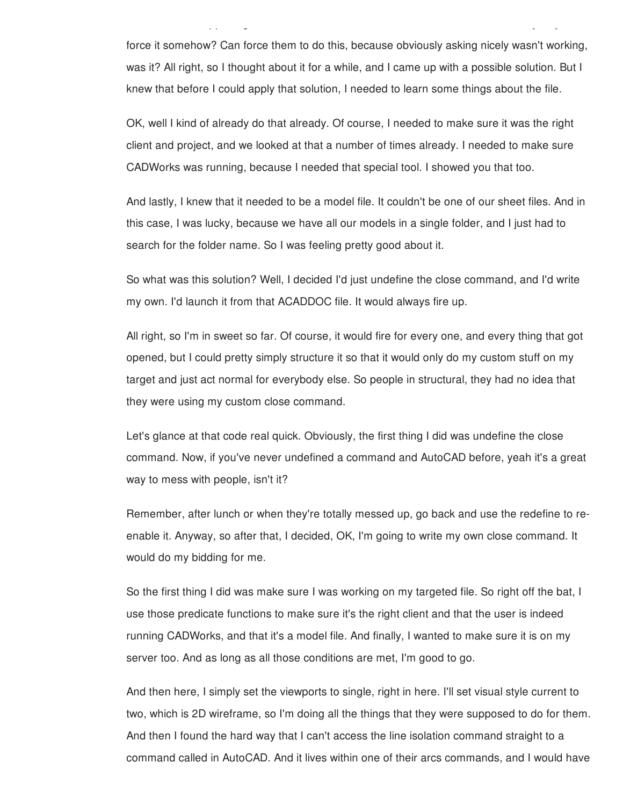force it somehow? Can force them to do this, because obviously asking nicely wasn't working, was it? All right, so I thought about it for a while, and I came up with a possible solution. But I knew that before I could apply that solution, I needed to learn some things about the file.

Well, it wasn't happening. And the bosses came to me and said, Frank, is there any way I can

OK, well I kind of already do that already. Of course, I needed to make sure it was the right client and project, and we looked at that a number of times already. I needed to make sure CADWorks was running, because I needed that special tool. I showed you that too.

And lastly, I knew that it needed to be a model file. It couldn't be one of our sheet files. And in this case, I was lucky, because we have all our models in a single folder, and I just had to search for the folder name. So I was feeling pretty good about it.

So what was this solution? Well, I decided I'd just undefine the close command, and I'd write my own. I'd launch it from that ACADDOC file. It would always fire up.

All right, so I'm in sweet so far. Of course, it would fire for every one, and every thing that got opened, but I could pretty simply structure it so that it would only do my custom stuff on my target and just act normal for everybody else. So people in structural, they had no idea that they were using my custom close command.

Let's glance at that code real quick. Obviously, the first thing I did was undefine the close command. Now, if you've never undefined a command and AutoCAD before, yeah it's a great way to mess with people, isn't it?

Remember, after lunch or when they're totally messed up, go back and use the redefine to reenable it. Anyway, so after that, I decided, OK, I'm going to write my own close command. It would do my bidding for me.

So the first thing I did was make sure I was working on my targeted file. So right off the bat, I use those predicate functions to make sure it's the right client and that the user is indeed running CADWorks, and that it's a model file. And finally, I wanted to make sure it is on my server too. And as long as all those conditions are met, I'm good to go.

And then here, I simply set the viewports to single, right in here. I'll set visual style current to two, which is 2D wireframe, so I'm doing all the things that they were supposed to do for them. And then I found the hard way that I can't access the line isolation command straight to a command called in AutoCAD. And it lives within one of their arcs commands, and I would have